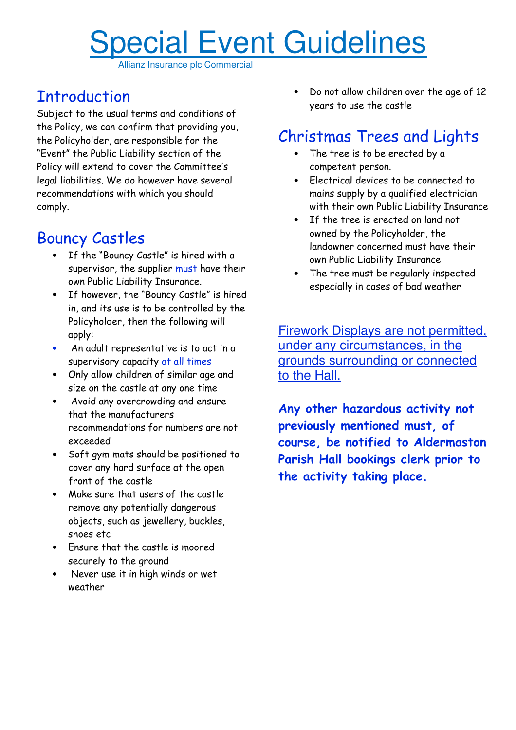## Special Event Guidelines

Allianz Insurance plc Commercial

## **Introduction**

Subject to the usual terms and conditions of the Policy, we can confirm that providing you, the Policyholder, are responsible for the "Event" the Public Liability section of the Policy will extend to cover the Committee's legal liabilities. We do however have several recommendations with which you should comply.

## Bouncy Castles

- If the "Bouncy Castle" is hired with a supervisor, the supplier must have their own Public Liability Insurance.
- If however, the "Bouncy Castle" is hired in, and its use is to be controlled by the Policyholder, then the following will apply:
- An adult representative is to act in a supervisory capacity at all times
- Only allow children of similar age and size on the castle at any one time
- Avoid any overcrowding and ensure that the manufacturers recommendations for numbers are not exceeded
- Soft gym mats should be positioned to cover any hard surface at the open front of the castle
- Make sure that users of the castle remove any potentially dangerous objects, such as jewellery, buckles, shoes etc
- Ensure that the castle is moored securely to the ground
- Never use it in high winds or wet weather

• Do not allow children over the age of 12 years to use the castle

## Christmas Trees and Lights

- The tree is to be erected by a competent person.
- Electrical devices to be connected to mains supply by a qualified electrician with their own Public Liability Insurance
- If the tree is erected on land not owned by the Policyholder, the landowner concerned must have their own Public Liability Insurance
- The tree must be regularly inspected especially in cases of bad weather

Firework Displays are not permitted, under any circumstances, in the grounds surrounding or connected to the Hall.

Any other hazardous activity not previously mentioned must, of course, be notified to Aldermaston Parish Hall bookings clerk prior to the activity taking place.